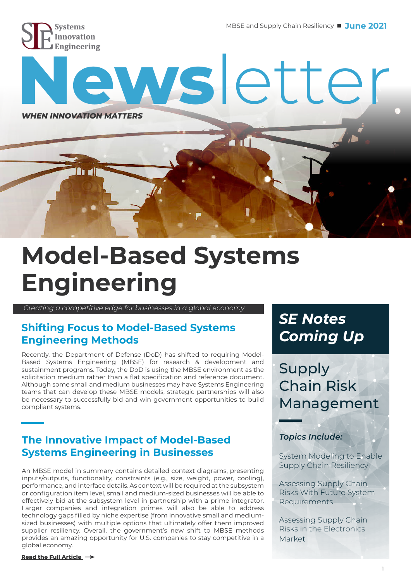

n di

# **[Ne](https://siecompany.com/)ws**letter *WHEN INNOVATION MATTERS*  $\blacksquare$

# **Model-Based Systems Engineering**

 *Creating a competitive edge for businesses in a global economy*

### **Shifting Focus to Model-Based Systems Engineering Methods**

Recently, the Department of Defense (DoD) has shifted to requiring Model-Based Systems Engineering (MBSE) for research & development and sustainment programs. Today, the DoD is using the MBSE environment as the solicitation medium rather than a flat specification and reference document. Although some small and medium businesses may have Systems Engineering teams that can develop these MBSE models, strategic partnerships will also be necessary to successfully bid and win government opportunities to build compliant systems.

### **The Innovative Impact of Model-Based Systems Engineering in Businesses**

An MBSE model in summary contains detailed context diagrams, presenting inputs/outputs, functionality, constraints (e.g., size, weight, power, cooling), performance, and interface details. As context will be required at the subsystem or configuration item level, small and medium-sized businesses will be able to effectively bid at the subsystem level in partnership with a prime integrator. Larger companies and integration primes will also be able to address technology gaps filled by niche expertise (from innovative small and mediumsized businesses) with multiple options that ultimately offer them improved supplier resiliency. Overall, the government's new shift to MBSE methods provides an amazing opportunity for U.S. companies to stay competitive in a global economy.

## *SE Notes Coming Up*

Supply Chain Risk Management

#### *Topics Include:*

System Modeling to Enable Supply Chain Resiliency

Assessing Supply Chain Risks With Future System Requirements

Assessing Supply Chain Risks in the Electronics Market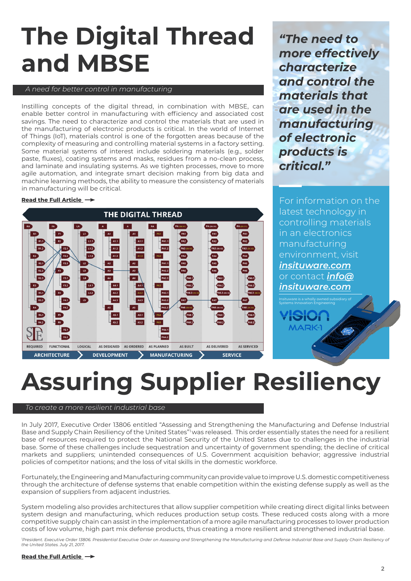# **The Digital Thread and MBSE**

#### *A need for better control in manufacturing*

Instilling concepts of the digital thread, in combination with MBSE, can enable better control in manufacturing with efficiency and associated cost savings. The need to characterize and control the materials that are used in the manufacturing of electronic products is critical. In the world of Internet of Things (IoT), materials control is one of the forgotten areas because of the complexity of measuring and controlling material systems in a factory setting. Some material systems of interest include soldering materials (e.g., solder paste, fluxes), coating systems and masks, residues from a no-clean process, and laminate and insulating systems. As we tighten processes, move to more agile automation, and integrate smart decision making from big data and machine learning methods, the ability to measure the consistency of materials in manufacturing will be critical.

#### **[Read the Full Article](https://siecompany.com/SE%20Notes%20and%20Newsletters/1.13.20%20-%20SE%20Notes.pdf)**



*"The need to more effectively characterize and control the materials that are used in the manufacturing of electronic products is critical."*

For information on the latest technology in controlling materials in an electronics manufacturing environment, visit *[insituware.com](https://insituware.com/)* or contact *info@ [insituware.com](https://insituware.com/contact)*

Systems Innovation Engineering

**MARK** 

# **Assuring Supplier Resiliency**

#### *To create a more resilient industrial base*

In July 2017, Executive Order 13806 entitled "Assessing and Strengthening the Manufacturing and Defense Industrial Base and Supply Chain Resiliency of the United States" was released. This order essentially states the need for a resilient base of resources required to protect the National Security of the United States due to challenges in the industrial base. Some of these challenges include sequestration and uncertainty of government spending; the decline of critical markets and suppliers; unintended consequences of U.S. Government acquisition behavior; aggressive industrial policies of competitor nations; and the loss of vital skills in the domestic workforce.

Fortunately, the Engineering and Manufacturing community can provide value to improve U.S. domestic competitiveness through the architecture of defense systems that enable competition within the existing defense supply as well as the expansion of suppliers from adjacent industries.

System modeling also provides architectures that allow supplier competition while creating direct digital links between system design and manufacturing, which reduces production setup costs. These reduced costs along with a more competitive supply chain can assist in the implementation of a more agile manufacturing processes to lower production costs of low volume, high part mix defense products, thus creating a more resilient and strengthened industrial base.

<sup>1</sup>President. Executive Order 13806. Presidential Executive Order on Assessing and Strengthening the Manufacturing and Defense Industrial Base and Supply Chain Resiliency of *the United States. July 21, 2017.*